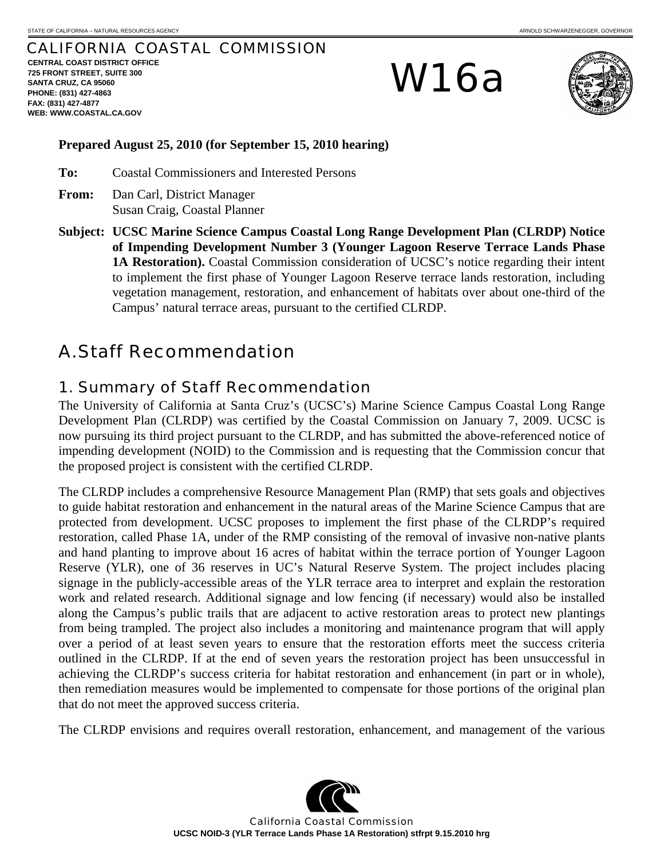# CALIFORNIA COASTAL COMMISSION

**CENTRAL COAST DISTRICT OFFICE 725 FRONT STREET, SUITE 300 SANTA CRUZ, CA 95060 PHONE: (831) 427-4863 FAX: (831) 427-4877 WEB: WWW.COASTAL.CA.GOV**

# W16a



#### **Prepared August 25, 2010 (for September 15, 2010 hearing)**

**To:** Coastal Commissioners and Interested Persons

- **From:** Dan Carl, District Manager Susan Craig, Coastal Planner
- **Subject: UCSC Marine Science Campus Coastal Long Range Development Plan (CLRDP) Notice of Impending Development Number 3 (Younger Lagoon Reserve Terrace Lands Phase 1A Restoration).** Coastal Commission consideration of UCSC's notice regarding their intent to implement the first phase of Younger Lagoon Reserve terrace lands restoration, including vegetation management, restoration, and enhancement of habitats over about one-third of the Campus' natural terrace areas, pursuant to the certified CLRDP.

# A. Staff Recommendation

## 1. Summary of Staff Recommendation

The University of California at Santa Cruz's (UCSC's) Marine Science Campus Coastal Long Range Development Plan (CLRDP) was certified by the Coastal Commission on January 7, 2009. UCSC is now pursuing its third project pursuant to the CLRDP, and has submitted the above-referenced notice of impending development (NOID) to the Commission and is requesting that the Commission concur that the proposed project is consistent with the certified CLRDP.

The CLRDP includes a comprehensive Resource Management Plan (RMP) that sets goals and objectives to guide habitat restoration and enhancement in the natural areas of the Marine Science Campus that are protected from development. UCSC proposes to implement the first phase of the CLRDP's required restoration, called Phase 1A, under of the RMP consisting of the removal of invasive non-native plants and hand planting to improve about 16 acres of habitat within the terrace portion of Younger Lagoon Reserve (YLR), one of 36 reserves in UC's Natural Reserve System. The project includes placing signage in the publicly-accessible areas of the YLR terrace area to interpret and explain the restoration work and related research. Additional signage and low fencing (if necessary) would also be installed along the Campus's public trails that are adjacent to active restoration areas to protect new plantings from being trampled. The project also includes a monitoring and maintenance program that will apply over a period of at least seven years to ensure that the restoration efforts meet the success criteria outlined in the CLRDP. If at the end of seven years the restoration project has been unsuccessful in achieving the CLRDP's success criteria for habitat restoration and enhancement (in part or in whole), then remediation measures would be implemented to compensate for those portions of the original plan that do not meet the approved success criteria.

The CLRDP envisions and requires overall restoration, enhancement, and management of the various

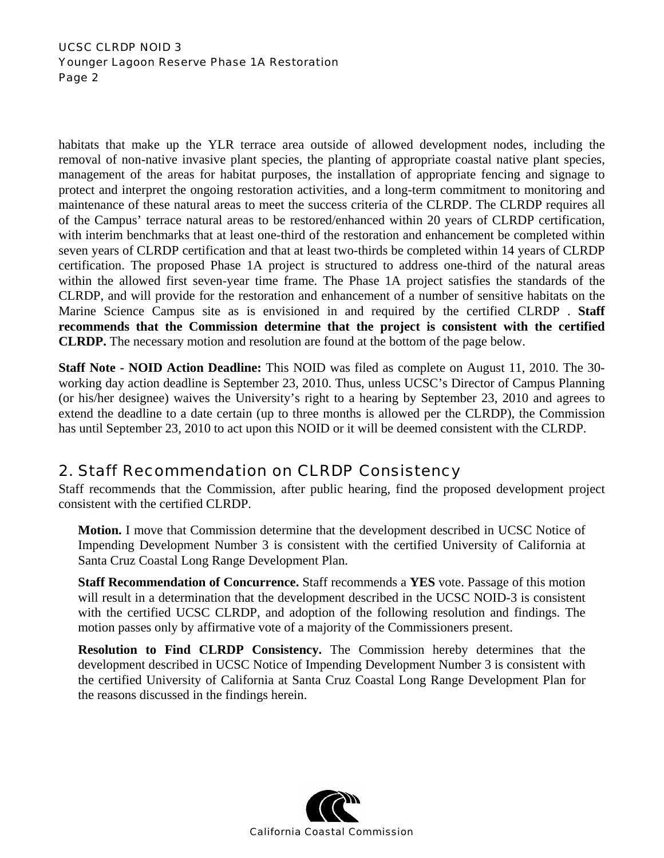#### UCSC CLRDP NOID 3 Younger Lagoon Reserve Phase 1A Restoration Page 2

habitats that make up the YLR terrace area outside of allowed development nodes, including the removal of non-native invasive plant species, the planting of appropriate coastal native plant species, management of the areas for habitat purposes, the installation of appropriate fencing and signage to protect and interpret the ongoing restoration activities, and a long-term commitment to monitoring and maintenance of these natural areas to meet the success criteria of the CLRDP. The CLRDP requires all of the Campus' terrace natural areas to be restored/enhanced within 20 years of CLRDP certification, with interim benchmarks that at least one-third of the restoration and enhancement be completed within seven years of CLRDP certification and that at least two-thirds be completed within 14 years of CLRDP certification. The proposed Phase 1A project is structured to address one-third of the natural areas within the allowed first seven-year time frame. The Phase 1A project satisfies the standards of the CLRDP, and will provide for the restoration and enhancement of a number of sensitive habitats on the Marine Science Campus site as is envisioned in and required by the certified CLRDP . **Staff recommends that the Commission determine that the project is consistent with the certified CLRDP.** The necessary motion and resolution are found at the bottom of the page below.

**Staff Note - NOID Action Deadline:** This NOID was filed as complete on August 11, 2010. The 30 working day action deadline is September 23, 2010. Thus, unless UCSC's Director of Campus Planning (or his/her designee) waives the University's right to a hearing by September 23, 2010 and agrees to extend the deadline to a date certain (up to three months is allowed per the CLRDP), the Commission has until September 23, 2010 to act upon this NOID or it will be deemed consistent with the CLRDP.

# 2. Staff Recommendation on CLRDP Consistency

Staff recommends that the Commission, after public hearing, find the proposed development project consistent with the certified CLRDP.

**Motion.** I move that Commission determine that the development described in UCSC Notice of Impending Development Number 3 is consistent with the certified University of California at Santa Cruz Coastal Long Range Development Plan.

**Staff Recommendation of Concurrence.** Staff recommends a **YES** vote. Passage of this motion will result in a determination that the development described in the UCSC NOID-3 is consistent with the certified UCSC CLRDP, and adoption of the following resolution and findings. The motion passes only by affirmative vote of a majority of the Commissioners present.

**Resolution to Find CLRDP Consistency.** The Commission hereby determines that the development described in UCSC Notice of Impending Development Number 3 is consistent with the certified University of California at Santa Cruz Coastal Long Range Development Plan for the reasons discussed in the findings herein.

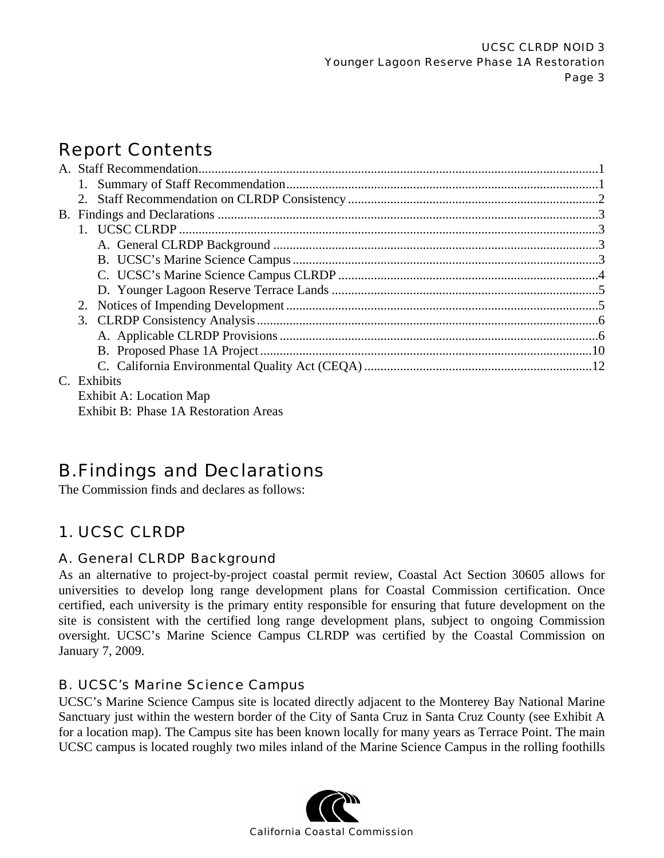# Report Contents

| C. Exhibits             |  |
|-------------------------|--|
| Exhibit A: Location Map |  |

Exhibit B: Phase 1A Restoration Areas

# B. Findings and Declarations

The Commission finds and declares as follows:

# 1. UCSC CLRDP

## A. General CLRDP Background

As an alternative to project-by-project coastal permit review, Coastal Act Section 30605 allows for universities to develop long range development plans for Coastal Commission certification. Once certified, each university is the primary entity responsible for ensuring that future development on the site is consistent with the certified long range development plans, subject to ongoing Commission oversight. UCSC's Marine Science Campus CLRDP was certified by the Coastal Commission on January 7, 2009.

# B. UCSC's Marine Science Campus

UCSC's Marine Science Campus site is located directly adjacent to the Monterey Bay National Marine Sanctuary just within the western border of the City of Santa Cruz in Santa Cruz County (see Exhibit A for a location map). The Campus site has been known locally for many years as Terrace Point. The main UCSC campus is located roughly two miles inland of the Marine Science Campus in the rolling foothills

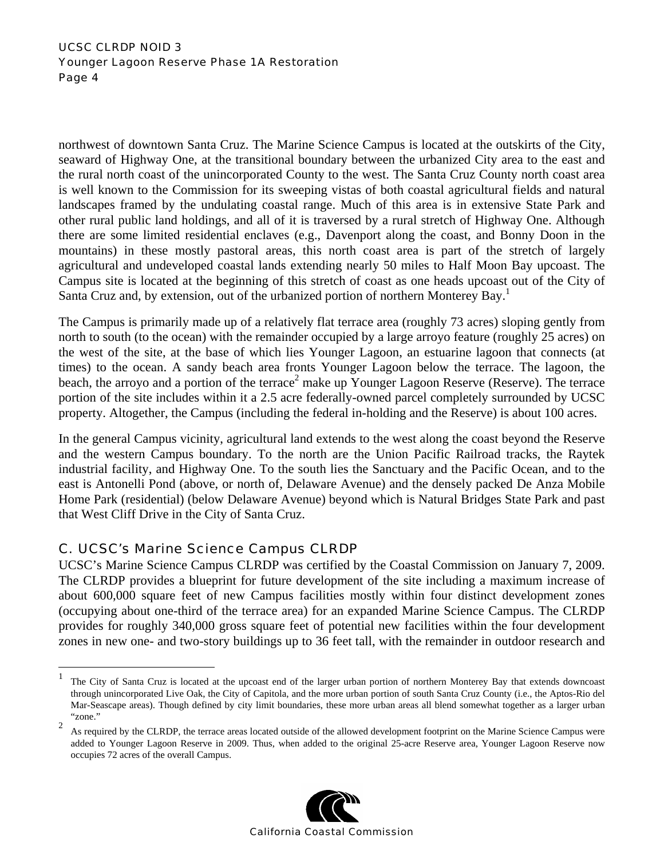#### UCSC CLRDP NOID 3 Younger Lagoon Reserve Phase 1A Restoration Page 4

northwest of downtown Santa Cruz. The Marine Science Campus is located at the outskirts of the City, seaward of Highway One, at the transitional boundary between the urbanized City area to the east and the rural north coast of the unincorporated County to the west. The Santa Cruz County north coast area is well known to the Commission for its sweeping vistas of both coastal agricultural fields and natural landscapes framed by the undulating coastal range. Much of this area is in extensive State Park and other rural public land holdings, and all of it is traversed by a rural stretch of Highway One. Although there are some limited residential enclaves (e.g., Davenport along the coast, and Bonny Doon in the mountains) in these mostly pastoral areas, this north coast area is part of the stretch of largely agricultural and undeveloped coastal lands extending nearly 50 miles to Half Moon Bay upcoast. The Campus site is located at the beginning of this stretch of coast as one heads upcoast out of the City of Santa Cruz and, by extension, out of the urbanized portion of northern Monterey Bay.<sup>1</sup>

The Campus is primarily made up of a relatively flat terrace area (roughly 73 acres) sloping gently from north to south (to the ocean) with the remainder occupied by a large arroyo feature (roughly 25 acres) on the west of the site, at the base of which lies Younger Lagoon, an estuarine lagoon that connects (at times) to the ocean. A sandy beach area fronts Younger Lagoon below the terrace. The lagoon, the beach, the arroyo and a portion of the terrace<sup>2</sup> make up Younger Lagoon Reserve (Reserve). The terrace portion of the site includes within it a 2.5 acre federally-owned parcel completely surrounded by UCSC property. Altogether, the Campus (including the federal in-holding and the Reserve) is about 100 acres.

In the general Campus vicinity, agricultural land extends to the west along the coast beyond the Reserve and the western Campus boundary. To the north are the Union Pacific Railroad tracks, the Raytek industrial facility, and Highway One. To the south lies the Sanctuary and the Pacific Ocean, and to the east is Antonelli Pond (above, or north of, Delaware Avenue) and the densely packed De Anza Mobile Home Park (residential) (below Delaware Avenue) beyond which is Natural Bridges State Park and past that West Cliff Drive in the City of Santa Cruz.

#### C. UCSC's Marine Science Campus CLRDP

1

UCSC's Marine Science Campus CLRDP was certified by the Coastal Commission on January 7, 2009. The CLRDP provides a blueprint for future development of the site including a maximum increase of about 600,000 square feet of new Campus facilities mostly within four distinct development zones (occupying about one-third of the terrace area) for an expanded Marine Science Campus. The CLRDP provides for roughly 340,000 gross square feet of potential new facilities within the four development zones in new one- and two-story buildings up to 36 feet tall, with the remainder in outdoor research and

<sup>&</sup>lt;sup>2</sup> As required by the CLRDP, the terrace areas located outside of the allowed development footprint on the Marine Science Campus were added to Younger Lagoon Reserve in 2009. Thus, when added to the original 25-acre Reserve area, Younger Lagoon Reserve now occupies 72 acres of the overall Campus.



<sup>&</sup>lt;sup>1</sup> The City of Santa Cruz is located at the upcoast end of the larger urban portion of northern Monterey Bay that extends downcoast through unincorporated Live Oak, the City of Capitola, and the more urban portion of south Santa Cruz County (i.e., the Aptos-Rio del Mar-Seascape areas). Though defined by city limit boundaries, these more urban areas all blend somewhat together as a larger urban "zone."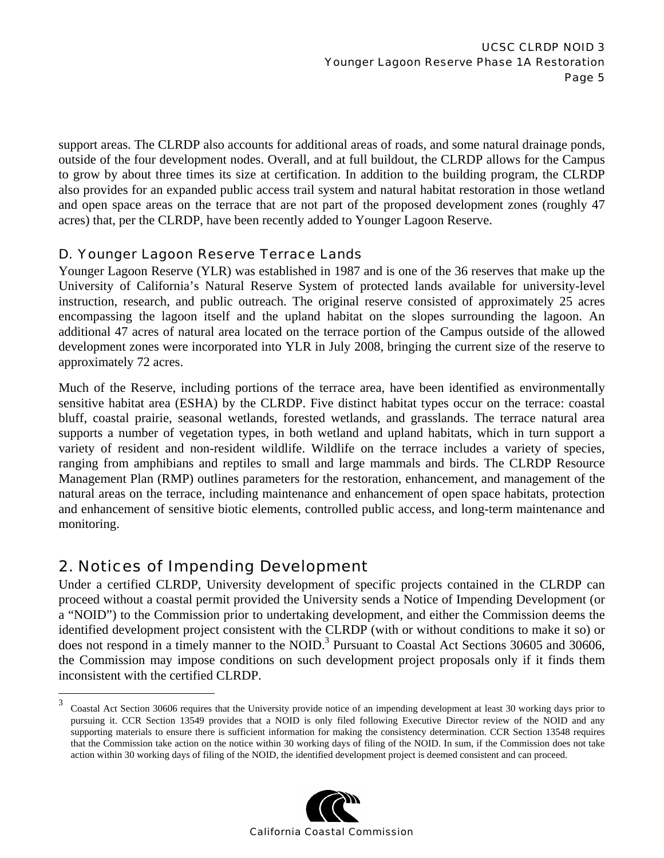support areas. The CLRDP also accounts for additional areas of roads, and some natural drainage ponds, outside of the four development nodes. Overall, and at full buildout, the CLRDP allows for the Campus to grow by about three times its size at certification. In addition to the building program, the CLRDP also provides for an expanded public access trail system and natural habitat restoration in those wetland and open space areas on the terrace that are not part of the proposed development zones (roughly 47 acres) that, per the CLRDP, have been recently added to Younger Lagoon Reserve.

## D. Younger Lagoon Reserve Terrace Lands

Younger Lagoon Reserve (YLR) was established in 1987 and is one of the 36 reserves that make up the University of California's Natural Reserve System of protected lands available for university-level instruction, research, and public outreach. The original reserve consisted of approximately 25 acres encompassing the lagoon itself and the upland habitat on the slopes surrounding the lagoon. An additional 47 acres of natural area located on the terrace portion of the Campus outside of the allowed development zones were incorporated into YLR in July 2008, bringing the current size of the reserve to approximately 72 acres.

Much of the Reserve, including portions of the terrace area, have been identified as environmentally sensitive habitat area (ESHA) by the CLRDP. Five distinct habitat types occur on the terrace: coastal bluff, coastal prairie, seasonal wetlands, forested wetlands, and grasslands. The terrace natural area supports a number of vegetation types, in both wetland and upland habitats, which in turn support a variety of resident and non-resident wildlife. Wildlife on the terrace includes a variety of species, ranging from amphibians and reptiles to small and large mammals and birds. The CLRDP Resource Management Plan (RMP) outlines parameters for the restoration, enhancement, and management of the natural areas on the terrace, including maintenance and enhancement of open space habitats, protection and enhancement of sensitive biotic elements, controlled public access, and long-term maintenance and monitoring.

# 2. Notices of Impending Development

<u>.</u>

Under a certified CLRDP, University development of specific projects contained in the CLRDP can proceed without a coastal permit provided the University sends a Notice of Impending Development (or a "NOID") to the Commission prior to undertaking development, and either the Commission deems the identified development project consistent with the CLRDP (with or without conditions to make it so) or does not respond in a timely manner to the NOID.<sup>3</sup> Pursuant to Coastal Act Sections 30605 and 30606, the Commission may impose conditions on such development project proposals only if it finds them inconsistent with the certified CLRDP.

<sup>&</sup>lt;sup>3</sup> Coastal Act Section 30606 requires that the University provide notice of an impending development at least 30 working days prior to pursuing it. CCR Section 13549 provides that a NOID is only filed following Executive Director review of the NOID and any supporting materials to ensure there is sufficient information for making the consistency determination. CCR Section 13548 requires that the Commission take action on the notice within 30 working days of filing of the NOID. In sum, if the Commission does not take action within 30 working days of filing of the NOID, the identified development project is deemed consistent and can proceed.

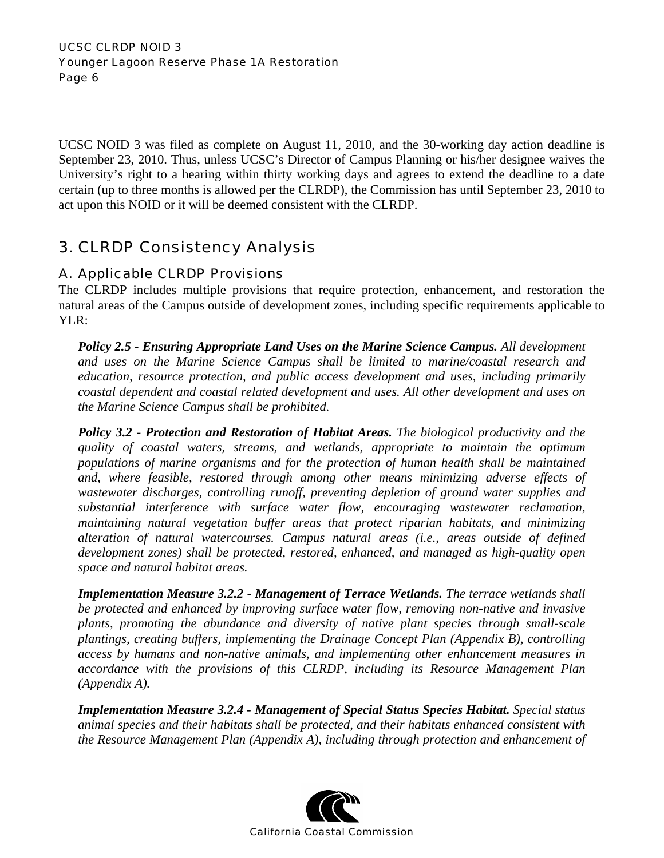UCSC NOID 3 was filed as complete on August 11, 2010, and the 30-working day action deadline is September 23, 2010. Thus, unless UCSC's Director of Campus Planning or his/her designee waives the University's right to a hearing within thirty working days and agrees to extend the deadline to a date certain (up to three months is allowed per the CLRDP), the Commission has until September 23, 2010 to act upon this NOID or it will be deemed consistent with the CLRDP.

# 3. CLRDP Consistency Analysis

### A. Applicable CLRDP Provisions

The CLRDP includes multiple provisions that require protection, enhancement, and restoration the natural areas of the Campus outside of development zones, including specific requirements applicable to YLR:

*Policy 2.5 - Ensuring Appropriate Land Uses on the Marine Science Campus. All development and uses on the Marine Science Campus shall be limited to marine/coastal research and education, resource protection, and public access development and uses, including primarily coastal dependent and coastal related development and uses. All other development and uses on the Marine Science Campus shall be prohibited.* 

*Policy 3.2 - Protection and Restoration of Habitat Areas. The biological productivity and the quality of coastal waters, streams, and wetlands, appropriate to maintain the optimum populations of marine organisms and for the protection of human health shall be maintained and, where feasible, restored through among other means minimizing adverse effects of wastewater discharges, controlling runoff, preventing depletion of ground water supplies and substantial interference with surface water flow, encouraging wastewater reclamation, maintaining natural vegetation buffer areas that protect riparian habitats, and minimizing alteration of natural watercourses. Campus natural areas (i.e., areas outside of defined development zones) shall be protected, restored, enhanced, and managed as high-quality open space and natural habitat areas.* 

*Implementation Measure 3.2.2 - Management of Terrace Wetlands. The terrace wetlands shall be protected and enhanced by improving surface water flow, removing non-native and invasive plants, promoting the abundance and diversity of native plant species through small-scale plantings, creating buffers, implementing the Drainage Concept Plan (Appendix B), controlling access by humans and non-native animals, and implementing other enhancement measures in accordance with the provisions of this CLRDP, including its Resource Management Plan (Appendix A).* 

*Implementation Measure 3.2.4 - Management of Special Status Species Habitat. Special status animal species and their habitats shall be protected, and their habitats enhanced consistent with the Resource Management Plan (Appendix A), including through protection and enhancement of* 

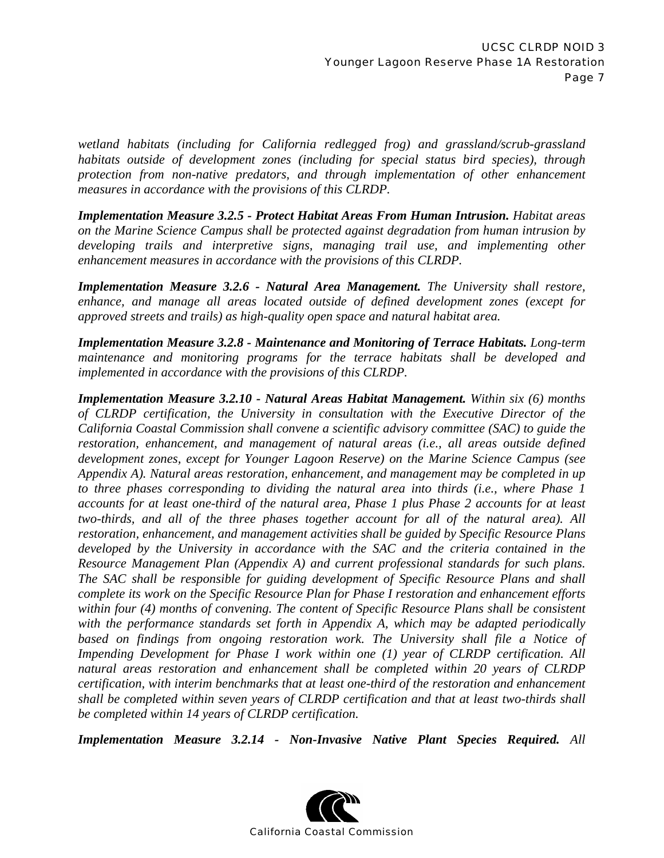*wetland habitats (including for California redlegged frog) and grassland/scrub-grassland habitats outside of development zones (including for special status bird species), through protection from non-native predators, and through implementation of other enhancement measures in accordance with the provisions of this CLRDP.* 

*Implementation Measure 3.2.5 - Protect Habitat Areas From Human Intrusion. Habitat areas on the Marine Science Campus shall be protected against degradation from human intrusion by developing trails and interpretive signs, managing trail use, and implementing other enhancement measures in accordance with the provisions of this CLRDP.* 

*Implementation Measure 3.2.6 - Natural Area Management. The University shall restore, enhance, and manage all areas located outside of defined development zones (except for approved streets and trails) as high-quality open space and natural habitat area.* 

*Implementation Measure 3.2.8 - Maintenance and Monitoring of Terrace Habitats. Long-term maintenance and monitoring programs for the terrace habitats shall be developed and implemented in accordance with the provisions of this CLRDP.* 

*Implementation Measure 3.2.10 - Natural Areas Habitat Management. Within six (6) months of CLRDP certification, the University in consultation with the Executive Director of the California Coastal Commission shall convene a scientific advisory committee (SAC) to guide the restoration, enhancement, and management of natural areas (i.e., all areas outside defined development zones, except for Younger Lagoon Reserve) on the Marine Science Campus (see Appendix A). Natural areas restoration, enhancement, and management may be completed in up to three phases corresponding to dividing the natural area into thirds (i.e., where Phase 1 accounts for at least one-third of the natural area, Phase 1 plus Phase 2 accounts for at least two-thirds, and all of the three phases together account for all of the natural area). All restoration, enhancement, and management activities shall be guided by Specific Resource Plans developed by the University in accordance with the SAC and the criteria contained in the Resource Management Plan (Appendix A) and current professional standards for such plans. The SAC shall be responsible for guiding development of Specific Resource Plans and shall complete its work on the Specific Resource Plan for Phase I restoration and enhancement efforts within four (4) months of convening. The content of Specific Resource Plans shall be consistent with the performance standards set forth in Appendix A, which may be adapted periodically based on findings from ongoing restoration work. The University shall file a Notice of Impending Development for Phase I work within one (1) year of CLRDP certification. All natural areas restoration and enhancement shall be completed within 20 years of CLRDP certification, with interim benchmarks that at least one-third of the restoration and enhancement shall be completed within seven years of CLRDP certification and that at least two-thirds shall be completed within 14 years of CLRDP certification.* 

*Implementation Measure 3.2.14 - Non-Invasive Native Plant Species Required. All* 

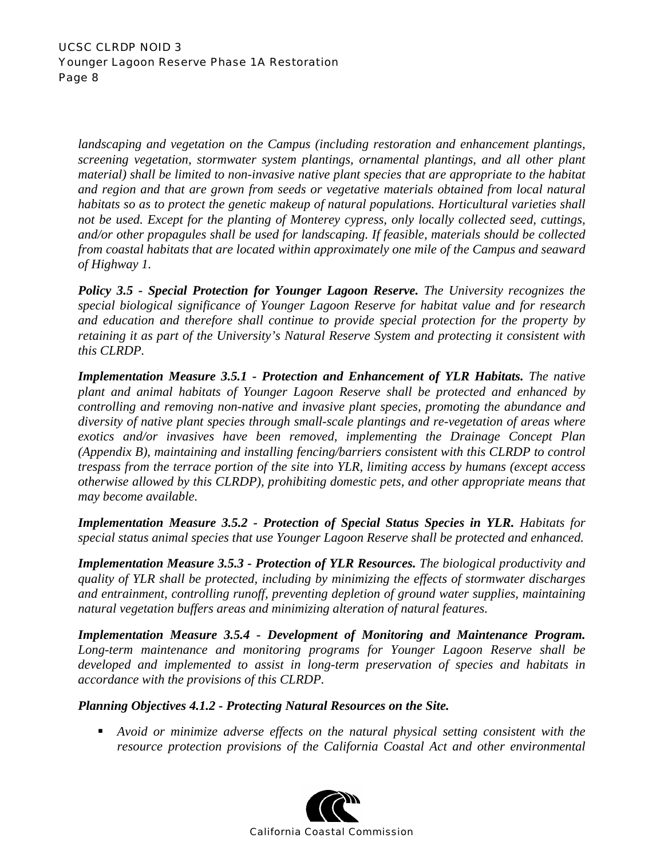*landscaping and vegetation on the Campus (including restoration and enhancement plantings, screening vegetation, stormwater system plantings, ornamental plantings, and all other plant material) shall be limited to non-invasive native plant species that are appropriate to the habitat and region and that are grown from seeds or vegetative materials obtained from local natural habitats so as to protect the genetic makeup of natural populations. Horticultural varieties shall not be used. Except for the planting of Monterey cypress, only locally collected seed, cuttings, and/or other propagules shall be used for landscaping. If feasible, materials should be collected from coastal habitats that are located within approximately one mile of the Campus and seaward of Highway 1.* 

*Policy 3.5 - Special Protection for Younger Lagoon Reserve. The University recognizes the special biological significance of Younger Lagoon Reserve for habitat value and for research and education and therefore shall continue to provide special protection for the property by retaining it as part of the University's Natural Reserve System and protecting it consistent with this CLRDP.* 

*Implementation Measure 3.5.1 - Protection and Enhancement of YLR Habitats. The native plant and animal habitats of Younger Lagoon Reserve shall be protected and enhanced by controlling and removing non-native and invasive plant species, promoting the abundance and diversity of native plant species through small-scale plantings and re-vegetation of areas where exotics and/or invasives have been removed, implementing the Drainage Concept Plan (Appendix B), maintaining and installing fencing/barriers consistent with this CLRDP to control trespass from the terrace portion of the site into YLR, limiting access by humans (except access otherwise allowed by this CLRDP), prohibiting domestic pets, and other appropriate means that may become available.* 

*Implementation Measure 3.5.2 - Protection of Special Status Species in YLR. Habitats for special status animal species that use Younger Lagoon Reserve shall be protected and enhanced.* 

*Implementation Measure 3.5.3 - Protection of YLR Resources. The biological productivity and quality of YLR shall be protected, including by minimizing the effects of stormwater discharges and entrainment, controlling runoff, preventing depletion of ground water supplies, maintaining natural vegetation buffers areas and minimizing alteration of natural features.* 

*Implementation Measure 3.5.4 - Development of Monitoring and Maintenance Program. Long-term maintenance and monitoring programs for Younger Lagoon Reserve shall be developed and implemented to assist in long-term preservation of species and habitats in accordance with the provisions of this CLRDP.* 

#### *Planning Objectives 4.1.2 - Protecting Natural Resources on the Site.*

 *Avoid or minimize adverse effects on the natural physical setting consistent with the resource protection provisions of the California Coastal Act and other environmental* 

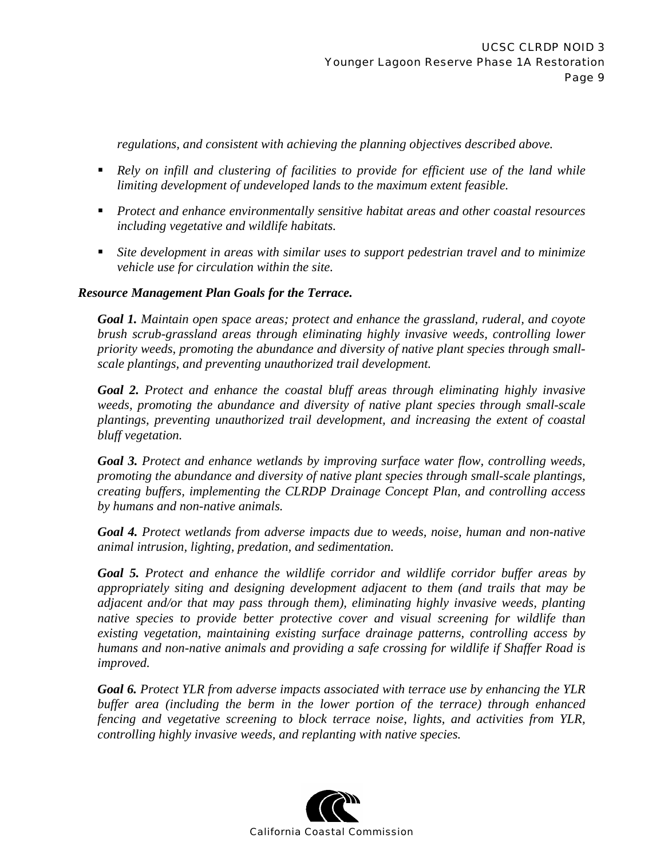*regulations, and consistent with achieving the planning objectives described above.* 

- **•** Rely on infill and clustering of facilities to provide for efficient use of the land while *limiting development of undeveloped lands to the maximum extent feasible.*
- *Protect and enhance environmentally sensitive habitat areas and other coastal resources including vegetative and wildlife habitats.*
- *Site development in areas with similar uses to support pedestrian travel and to minimize vehicle use for circulation within the site.*

#### *Resource Management Plan Goals for the Terrace.*

*Goal 1. Maintain open space areas; protect and enhance the grassland, ruderal, and coyote brush scrub-grassland areas through eliminating highly invasive weeds, controlling lower priority weeds, promoting the abundance and diversity of native plant species through smallscale plantings, and preventing unauthorized trail development.* 

*Goal 2. Protect and enhance the coastal bluff areas through eliminating highly invasive weeds, promoting the abundance and diversity of native plant species through small-scale plantings, preventing unauthorized trail development, and increasing the extent of coastal bluff vegetation.* 

*Goal 3. Protect and enhance wetlands by improving surface water flow, controlling weeds, promoting the abundance and diversity of native plant species through small-scale plantings, creating buffers, implementing the CLRDP Drainage Concept Plan, and controlling access by humans and non-native animals.* 

*Goal 4. Protect wetlands from adverse impacts due to weeds, noise, human and non-native animal intrusion, lighting, predation, and sedimentation.* 

*Goal 5. Protect and enhance the wildlife corridor and wildlife corridor buffer areas by appropriately siting and designing development adjacent to them (and trails that may be adjacent and/or that may pass through them), eliminating highly invasive weeds, planting native species to provide better protective cover and visual screening for wildlife than existing vegetation, maintaining existing surface drainage patterns, controlling access by humans and non-native animals and providing a safe crossing for wildlife if Shaffer Road is improved.* 

*Goal 6. Protect YLR from adverse impacts associated with terrace use by enhancing the YLR buffer area (including the berm in the lower portion of the terrace) through enhanced fencing and vegetative screening to block terrace noise, lights, and activities from YLR, controlling highly invasive weeds, and replanting with native species.* 

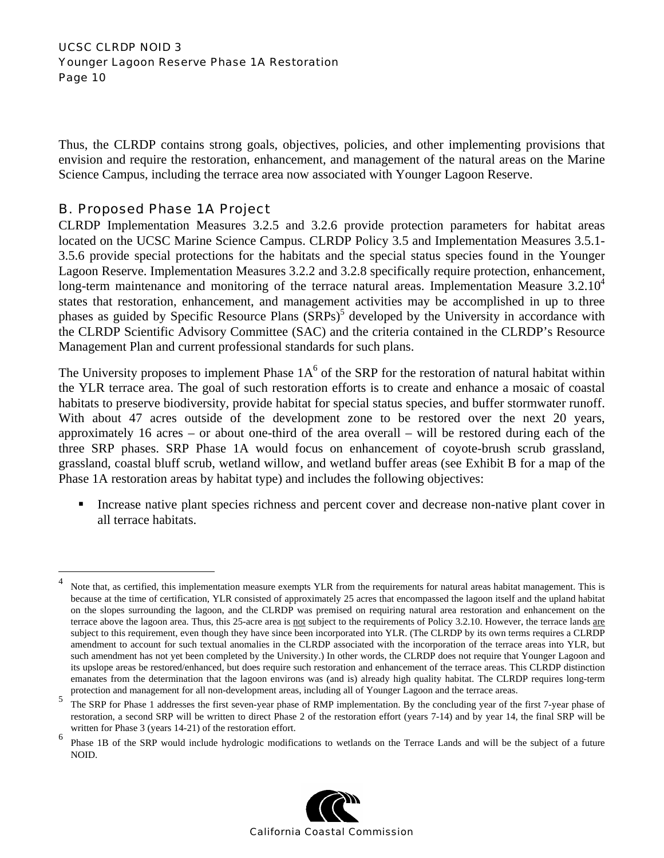Thus, the CLRDP contains strong goals, objectives, policies, and other implementing provisions that envision and require the restoration, enhancement, and management of the natural areas on the Marine Science Campus, including the terrace area now associated with Younger Lagoon Reserve.

## B. Proposed Phase 1A Project

 $\overline{a}$ 

CLRDP Implementation Measures 3.2.5 and 3.2.6 provide protection parameters for habitat areas located on the UCSC Marine Science Campus. CLRDP Policy 3.5 and Implementation Measures 3.5.1- 3.5.6 provide special protections for the habitats and the special status species found in the Younger Lagoon Reserve. Implementation Measures 3.2.2 and 3.2.8 specifically require protection, enhancement, long-term maintenance and monitoring of the terrace natural areas. Implementation Measure  $3.2.10<sup>4</sup>$ states that restoration, enhancement, and management activities may be accomplished in up to three phases as guided by Specific Resource Plans (SRPs)<sup>5</sup> developed by the University in accordance with the CLRDP Scientific Advisory Committee (SAC) and the criteria contained in the CLRDP's Resource Management Plan and current professional standards for such plans.

The University proposes to implement Phase  $1A<sup>6</sup>$  of the SRP for the restoration of natural habitat within the YLR terrace area. The goal of such restoration efforts is to create and enhance a mosaic of coastal habitats to preserve biodiversity, provide habitat for special status species, and buffer stormwater runoff. With about 47 acres outside of the development zone to be restored over the next 20 years, approximately 16 acres – or about one-third of the area overall – will be restored during each of the three SRP phases. SRP Phase 1A would focus on enhancement of coyote-brush scrub grassland, grassland, coastal bluff scrub, wetland willow, and wetland buffer areas (see Exhibit B for a map of the Phase 1A restoration areas by habitat type) and includes the following objectives:

 Increase native plant species richness and percent cover and decrease non-native plant cover in all terrace habitats.

<sup>6</sup> Phase 1B of the SRP would include hydrologic modifications to wetlands on the Terrace Lands and will be the subject of a future NOID.



Note that, as certified, this implementation measure exempts YLR from the requirements for natural areas habitat management. This is because at the time of certification, YLR consisted of approximately 25 acres that encompassed the lagoon itself and the upland habitat on the slopes surrounding the lagoon, and the CLRDP was premised on requiring natural area restoration and enhancement on the terrace above the lagoon area. Thus, this 25-acre area is not subject to the requirements of Policy 3.2.10. However, the terrace lands are subject to this requirement, even though they have since been incorporated into YLR. (The CLRDP by its own terms requires a CLRDP amendment to account for such textual anomalies in the CLRDP associated with the incorporation of the terrace areas into YLR, but such amendment has not yet been completed by the University.) In other words, the CLRDP does not require that Younger Lagoon and its upslope areas be restored/enhanced, but does require such restoration and enhancement of the terrace areas. This CLRDP distinction emanates from the determination that the lagoon environs was (and is) already high quality habitat. The CLRDP requires long-term protection and management for all non-development areas, including all of Younger Lagoon and the terrace areas.

<sup>5</sup> The SRP for Phase 1 addresses the first seven-year phase of RMP implementation. By the concluding year of the first 7-year phase of restoration, a second SRP will be written to direct Phase 2 of the restoration effort (years 7-14) and by year 14, the final SRP will be written for Phase 3 (years 14-21) of the restoration effort.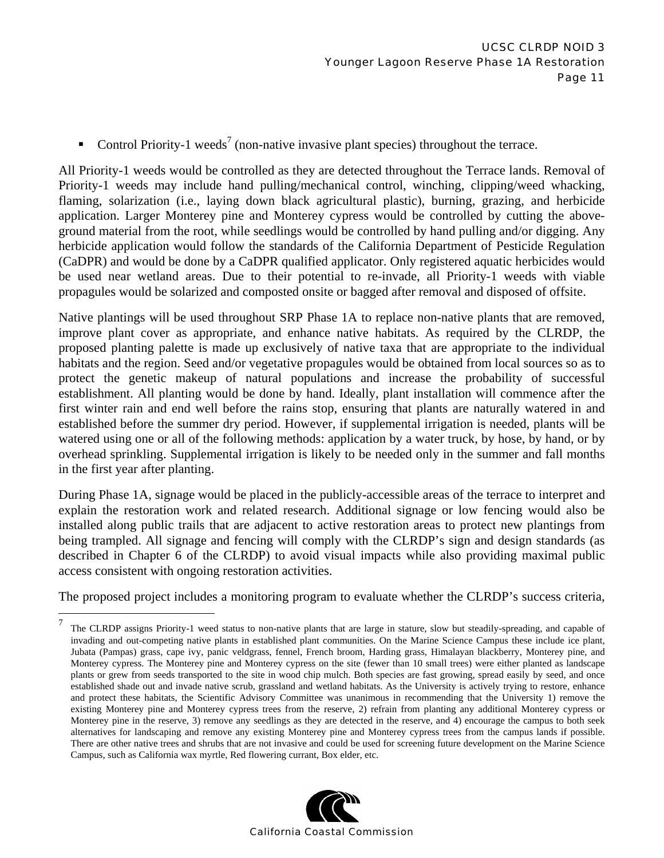• Control Priority-1 weeds<sup>7</sup> (non-native invasive plant species) throughout the terrace.

All Priority-1 weeds would be controlled as they are detected throughout the Terrace lands. Removal of Priority-1 weeds may include hand pulling/mechanical control, winching, clipping/weed whacking, flaming, solarization (i.e., laying down black agricultural plastic), burning, grazing, and herbicide application. Larger Monterey pine and Monterey cypress would be controlled by cutting the aboveground material from the root, while seedlings would be controlled by hand pulling and/or digging. Any herbicide application would follow the standards of the California Department of Pesticide Regulation (CaDPR) and would be done by a CaDPR qualified applicator. Only registered aquatic herbicides would be used near wetland areas. Due to their potential to re-invade, all Priority-1 weeds with viable propagules would be solarized and composted onsite or bagged after removal and disposed of offsite.

Native plantings will be used throughout SRP Phase 1A to replace non-native plants that are removed, improve plant cover as appropriate, and enhance native habitats. As required by the CLRDP, the proposed planting palette is made up exclusively of native taxa that are appropriate to the individual habitats and the region. Seed and/or vegetative propagules would be obtained from local sources so as to protect the genetic makeup of natural populations and increase the probability of successful establishment. All planting would be done by hand. Ideally, plant installation will commence after the first winter rain and end well before the rains stop, ensuring that plants are naturally watered in and established before the summer dry period. However, if supplemental irrigation is needed, plants will be watered using one or all of the following methods: application by a water truck, by hose, by hand, or by overhead sprinkling. Supplemental irrigation is likely to be needed only in the summer and fall months in the first year after planting.

During Phase 1A, signage would be placed in the publicly-accessible areas of the terrace to interpret and explain the restoration work and related research. Additional signage or low fencing would also be installed along public trails that are adjacent to active restoration areas to protect new plantings from being trampled. All signage and fencing will comply with the CLRDP's sign and design standards (as described in Chapter 6 of the CLRDP) to avoid visual impacts while also providing maximal public access consistent with ongoing restoration activities.

The proposed project includes a monitoring program to evaluate whether the CLRDP's success criteria,

 $\overline{a}$ 

<sup>&</sup>lt;sup>7</sup> The CLRDP assigns Priority-1 weed status to non-native plants that are large in stature, slow but steadily-spreading, and capable of invading and out-competing native plants in established plant communities. On the Marine Science Campus these include ice plant, Jubata (Pampas) grass, cape ivy, panic veldgrass, fennel, French broom, Harding grass, Himalayan blackberry, Monterey pine, and Monterey cypress. The Monterey pine and Monterey cypress on the site (fewer than 10 small trees) were either planted as landscape plants or grew from seeds transported to the site in wood chip mulch. Both species are fast growing, spread easily by seed, and once established shade out and invade native scrub, grassland and wetland habitats. As the University is actively trying to restore, enhance and protect these habitats, the Scientific Advisory Committee was unanimous in recommending that the University 1) remove the existing Monterey pine and Monterey cypress trees from the reserve, 2) refrain from planting any additional Monterey cypress or Monterey pine in the reserve, 3) remove any seedlings as they are detected in the reserve, and 4) encourage the campus to both seek alternatives for landscaping and remove any existing Monterey pine and Monterey cypress trees from the campus lands if possible. There are other native trees and shrubs that are not invasive and could be used for screening future development on the Marine Science Campus, such as California wax myrtle, Red flowering currant, Box elder, etc.

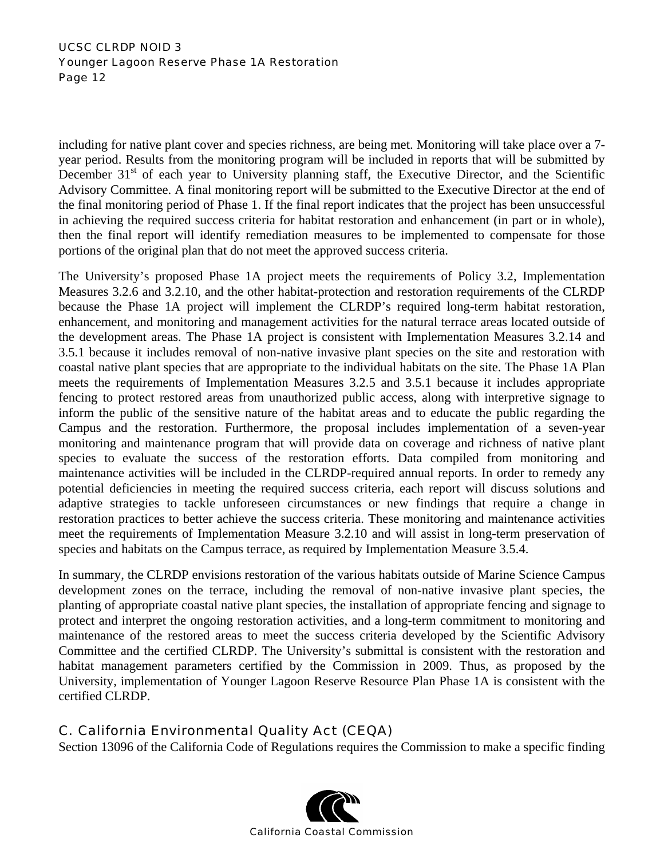#### UCSC CLRDP NOID 3 Younger Lagoon Reserve Phase 1A Restoration Page 12

including for native plant cover and species richness, are being met. Monitoring will take place over a 7 year period. Results from the monitoring program will be included in reports that will be submitted by December  $31<sup>st</sup>$  of each year to University planning staff, the Executive Director, and the Scientific Advisory Committee. A final monitoring report will be submitted to the Executive Director at the end of the final monitoring period of Phase 1. If the final report indicates that the project has been unsuccessful in achieving the required success criteria for habitat restoration and enhancement (in part or in whole), then the final report will identify remediation measures to be implemented to compensate for those portions of the original plan that do not meet the approved success criteria.

The University's proposed Phase 1A project meets the requirements of Policy 3.2, Implementation Measures 3.2.6 and 3.2.10, and the other habitat-protection and restoration requirements of the CLRDP because the Phase 1A project will implement the CLRDP's required long-term habitat restoration, enhancement, and monitoring and management activities for the natural terrace areas located outside of the development areas. The Phase 1A project is consistent with Implementation Measures 3.2.14 and 3.5.1 because it includes removal of non-native invasive plant species on the site and restoration with coastal native plant species that are appropriate to the individual habitats on the site. The Phase 1A Plan meets the requirements of Implementation Measures 3.2.5 and 3.5.1 because it includes appropriate fencing to protect restored areas from unauthorized public access, along with interpretive signage to inform the public of the sensitive nature of the habitat areas and to educate the public regarding the Campus and the restoration. Furthermore, the proposal includes implementation of a seven-year monitoring and maintenance program that will provide data on coverage and richness of native plant species to evaluate the success of the restoration efforts. Data compiled from monitoring and maintenance activities will be included in the CLRDP-required annual reports. In order to remedy any potential deficiencies in meeting the required success criteria, each report will discuss solutions and adaptive strategies to tackle unforeseen circumstances or new findings that require a change in restoration practices to better achieve the success criteria. These monitoring and maintenance activities meet the requirements of Implementation Measure 3.2.10 and will assist in long-term preservation of species and habitats on the Campus terrace, as required by Implementation Measure 3.5.4.

In summary, the CLRDP envisions restoration of the various habitats outside of Marine Science Campus development zones on the terrace, including the removal of non-native invasive plant species, the planting of appropriate coastal native plant species, the installation of appropriate fencing and signage to protect and interpret the ongoing restoration activities, and a long-term commitment to monitoring and maintenance of the restored areas to meet the success criteria developed by the Scientific Advisory Committee and the certified CLRDP. The University's submittal is consistent with the restoration and habitat management parameters certified by the Commission in 2009. Thus, as proposed by the University, implementation of Younger Lagoon Reserve Resource Plan Phase 1A is consistent with the certified CLRDP.

## C. California Environmental Quality Act (CEQA)

Section 13096 of the California Code of Regulations requires the Commission to make a specific finding

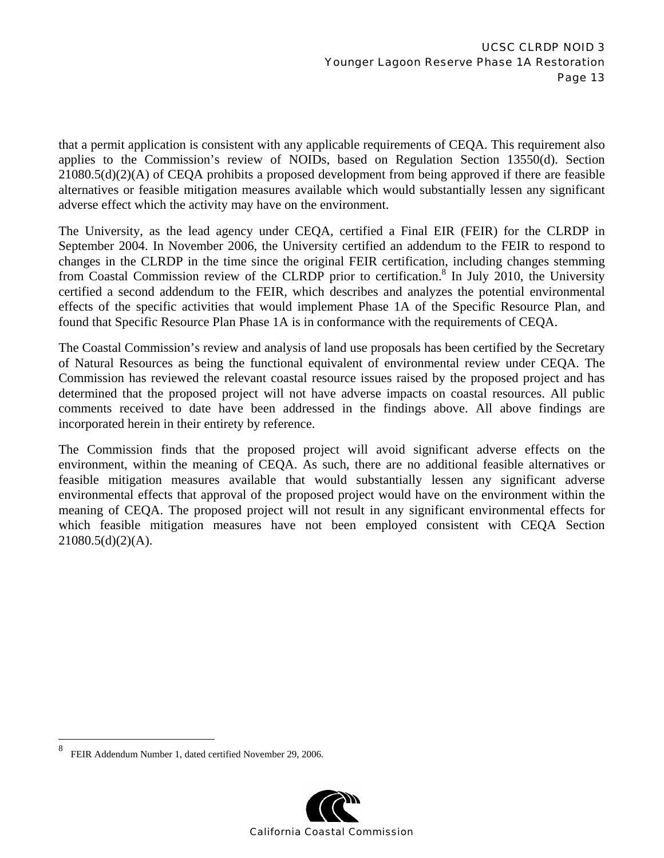that a permit application is consistent with any applicable requirements of CEQA. This requirement also applies to the Commission's review of NOIDs, based on Regulation Section 13550(d). Section 21080.5(d)(2)(A) of CEQA prohibits a proposed development from being approved if there are feasible alternatives or feasible mitigation measures available which would substantially lessen any significant adverse effect which the activity may have on the environment.

The University, as the lead agency under CEQA, certified a Final EIR (FEIR) for the CLRDP in September 2004. In November 2006, the University certified an addendum to the FEIR to respond to changes in the CLRDP in the time since the original FEIR certification, including changes stemming from Coastal Commission review of the CLRDP prior to certification.<sup>8</sup> In July 2010, the University certified a second addendum to the FEIR, which describes and analyzes the potential environmental effects of the specific activities that would implement Phase 1A of the Specific Resource Plan, and found that Specific Resource Plan Phase 1A is in conformance with the requirements of CEQA.

The Coastal Commission's review and analysis of land use proposals has been certified by the Secretary of Natural Resources as being the functional equivalent of environmental review under CEQA. The Commission has reviewed the relevant coastal resource issues raised by the proposed project and has determined that the proposed project will not have adverse impacts on coastal resources. All public comments received to date have been addressed in the findings above. All above findings are incorporated herein in their entirety by reference.

The Commission finds that the proposed project will avoid significant adverse effects on the environment, within the meaning of CEQA. As such, there are no additional feasible alternatives or feasible mitigation measures available that would substantially lessen any significant adverse environmental effects that approval of the proposed project would have on the environment within the meaning of CEQA. The proposed project will not result in any significant environmental effects for which feasible mitigation measures have not been employed consistent with CEQA Section  $21080.5(d)(2)(A)$ .

1



<sup>8</sup> FEIR Addendum Number 1, dated certified November 29, 2006.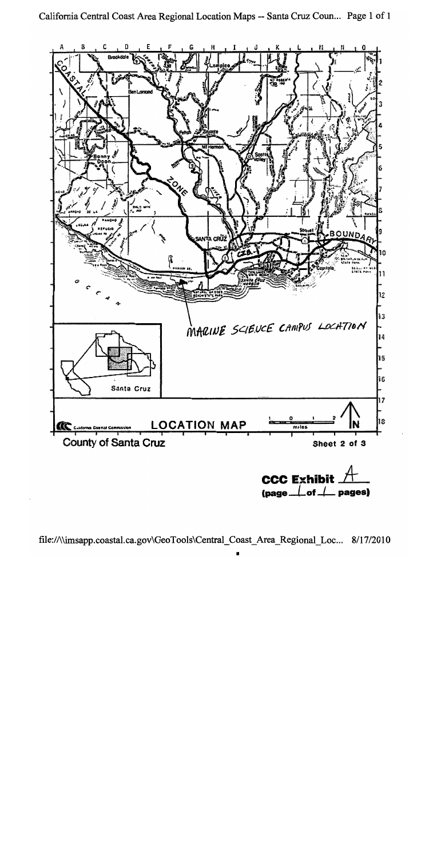

file://\\imsapp.coastal.ca.gov\GeoTools\Central\_Coast\_Area\_Regional\_Loc... 8/17/2010